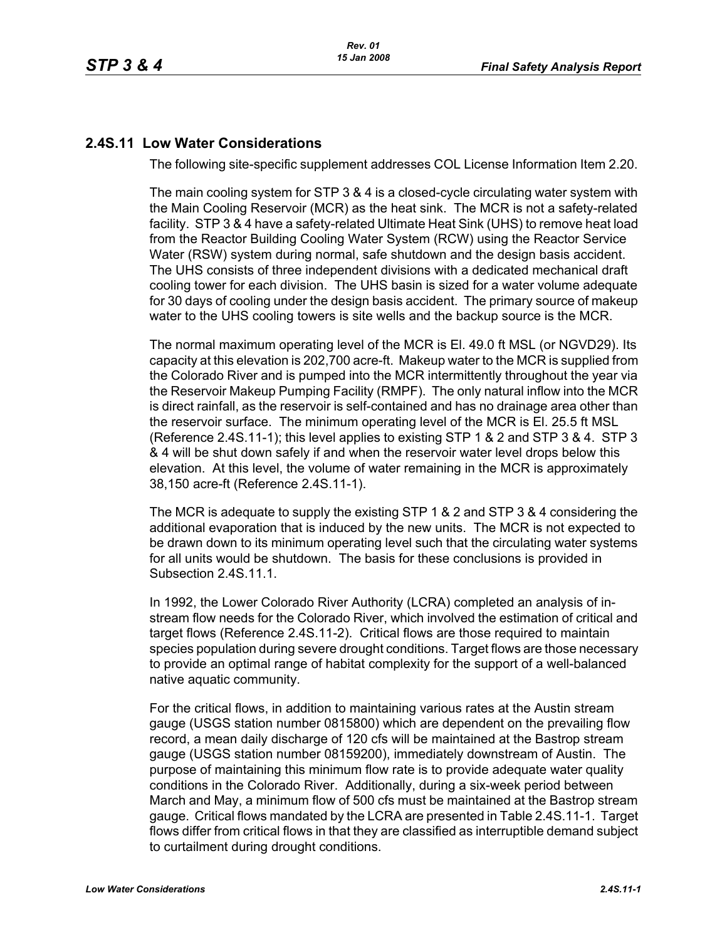# **2.4S.11 Low Water Considerations**

The following site-specific supplement addresses COL License Information Item 2.20.

The main cooling system for STP 3 & 4 is a closed-cycle circulating water system with the Main Cooling Reservoir (MCR) as the heat sink. The MCR is not a safety-related facility. STP 3 & 4 have a safety-related Ultimate Heat Sink (UHS) to remove heat load from the Reactor Building Cooling Water System (RCW) using the Reactor Service Water (RSW) system during normal, safe shutdown and the design basis accident. The UHS consists of three independent divisions with a dedicated mechanical draft cooling tower for each division. The UHS basin is sized for a water volume adequate for 30 days of cooling under the design basis accident. The primary source of makeup water to the UHS cooling towers is site wells and the backup source is the MCR.

The normal maximum operating level of the MCR is El. 49.0 ft MSL (or NGVD29). Its capacity at this elevation is 202,700 acre-ft. Makeup water to the MCR is supplied from the Colorado River and is pumped into the MCR intermittently throughout the year via the Reservoir Makeup Pumping Facility (RMPF). The only natural inflow into the MCR is direct rainfall, as the reservoir is self-contained and has no drainage area other than the reservoir surface. The minimum operating level of the MCR is El. 25.5 ft MSL (Reference [2.4S.11-1\)](#page-4-0); this level applies to existing STP 1 & 2 and STP 3 & 4. STP 3 & 4 will be shut down safely if and when the reservoir water level drops below this elevation. At this level, the volume of water remaining in the MCR is approximately 38,150 acre-ft (Reference [2.4S.11-1\)](#page-4-0).

The MCR is adequate to supply the existing STP 1 & 2 and STP 3 & 4 considering the additional evaporation that is induced by the new units. The MCR is not expected to be drawn down to its minimum operating level such that the circulating water systems for all units would be shutdown. The basis for these conclusions is provided in Subsection 2.4S.11.1.

In 1992, the Lower Colorado River Authority (LCRA) completed an analysis of instream flow needs for the Colorado River, which involved the estimation of critical and target flows (Reference [2.4S.11-2](#page-4-1)). Critical flows are those required to maintain species population during severe drought conditions. Target flows are those necessary to provide an optimal range of habitat complexity for the support of a well-balanced native aquatic community.

For the critical flows, in addition to maintaining various rates at the Austin stream gauge (USGS station number 0815800) which are dependent on the prevailing flow record, a mean daily discharge of 120 cfs will be maintained at the Bastrop stream gauge (USGS station number 08159200), immediately downstream of Austin. The purpose of maintaining this minimum flow rate is to provide adequate water quality conditions in the Colorado River. Additionally, during a six-week period between March and May, a minimum flow of 500 cfs must be maintained at the Bastrop stream gauge. Critical flows mandated by the LCRA are presented in Table [2.4S.11-1](#page-6-0). Target flows differ from critical flows in that they are classified as interruptible demand subject to curtailment during drought conditions.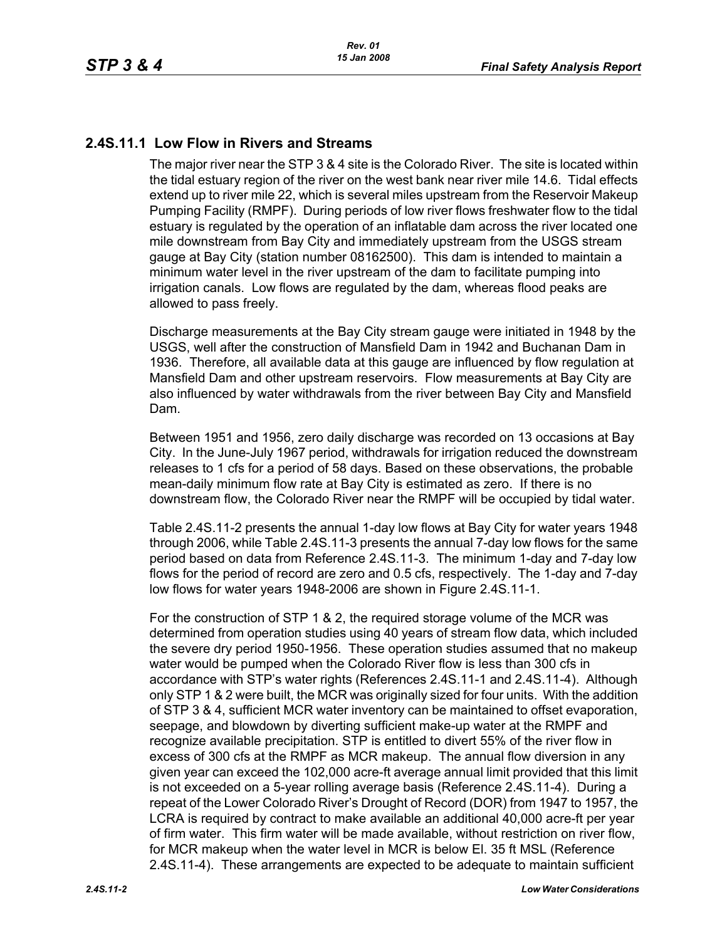# **2.4S.11.1 Low Flow in Rivers and Streams**

The major river near the STP 3 & 4 site is the Colorado River. The site is located within the tidal estuary region of the river on the west bank near river mile 14.6. Tidal effects extend up to river mile 22, which is several miles upstream from the Reservoir Makeup Pumping Facility (RMPF). During periods of low river flows freshwater flow to the tidal estuary is regulated by the operation of an inflatable dam across the river located one mile downstream from Bay City and immediately upstream from the USGS stream gauge at Bay City (station number 08162500). This dam is intended to maintain a minimum water level in the river upstream of the dam to facilitate pumping into irrigation canals. Low flows are regulated by the dam, whereas flood peaks are allowed to pass freely.

Discharge measurements at the Bay City stream gauge were initiated in 1948 by the USGS, well after the construction of Mansfield Dam in 1942 and Buchanan Dam in 1936. Therefore, all available data at this gauge are influenced by flow regulation at Mansfield Dam and other upstream reservoirs. Flow measurements at Bay City are also influenced by water withdrawals from the river between Bay City and Mansfield Dam.

Between 1951 and 1956, zero daily discharge was recorded on 13 occasions at Bay City. In the June-July 1967 period, withdrawals for irrigation reduced the downstream releases to 1 cfs for a period of 58 days. Based on these observations, the probable mean-daily minimum flow rate at Bay City is estimated as zero. If there is no downstream flow, the Colorado River near the RMPF will be occupied by tidal water.

Table [2.4S.11-2](#page-7-0) presents the annual 1-day low flows at Bay City for water years 1948 through 2006, while Table [2.4S.11-3](#page-8-0) presents the annual 7-day low flows for the same period based on data from Reference [2.4S.11-3.](#page-5-0) The minimum 1-day and 7-day low flows for the period of record are zero and 0.5 cfs, respectively. The 1-day and 7-day low flows for water years 1948-2006 are shown in Figure [2.4S.11-1](#page-9-0).

For the construction of STP 1 & 2, the required storage volume of the MCR was determined from operation studies using 40 years of stream flow data, which included the severe dry period 1950-1956. These operation studies assumed that no makeup water would be pumped when the Colorado River flow is less than 300 cfs in accordance with STP's water rights (References [2.4S.11-1](#page-4-0) and [2.4S.11-4](#page-5-1)). Although only STP 1 & 2 were built, the MCR was originally sized for four units. With the addition of STP 3 & 4, sufficient MCR water inventory can be maintained to offset evaporation, seepage, and blowdown by diverting sufficient make-up water at the RMPF and recognize available precipitation. STP is entitled to divert 55% of the river flow in excess of 300 cfs at the RMPF as MCR makeup. The annual flow diversion in any given year can exceed the 102,000 acre-ft average annual limit provided that this limit is not exceeded on a 5-year rolling average basis (Reference [2.4S.11-4](#page-5-1)). During a repeat of the Lower Colorado River's Drought of Record (DOR) from 1947 to 1957, the LCRA is required by contract to make available an additional 40,000 acre-ft per year of firm water. This firm water will be made available, without restriction on river flow, for MCR makeup when the water level in MCR is below El. 35 ft MSL (Reference [2.4S.11-4\)](#page-5-1). These arrangements are expected to be adequate to maintain sufficient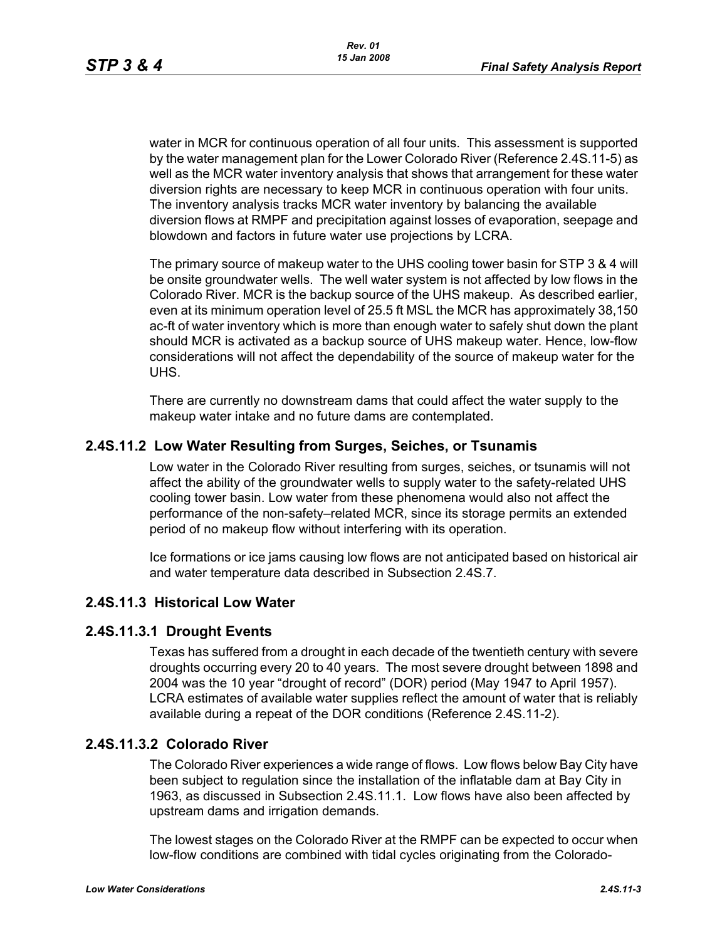water in MCR for continuous operation of all four units. This assessment is supported by the water management plan for the Lower Colorado River (Reference [2.4S.11-5](#page-5-2)) as well as the MCR water inventory analysis that shows that arrangement for these water diversion rights are necessary to keep MCR in continuous operation with four units. The inventory analysis tracks MCR water inventory by balancing the available diversion flows at RMPF and precipitation against losses of evaporation, seepage and blowdown and factors in future water use projections by LCRA.

The primary source of makeup water to the UHS cooling tower basin for STP 3 & 4 will be onsite groundwater wells. The well water system is not affected by low flows in the Colorado River. MCR is the backup source of the UHS makeup. As described earlier, even at its minimum operation level of 25.5 ft MSL the MCR has approximately 38,150 ac-ft of water inventory which is more than enough water to safely shut down the plant should MCR is activated as a backup source of UHS makeup water. Hence, low-flow considerations will not affect the dependability of the source of makeup water for the UHS.

There are currently no downstream dams that could affect the water supply to the makeup water intake and no future dams are contemplated.

# **2.4S.11.2 Low Water Resulting from Surges, Seiches, or Tsunamis**

Low water in the Colorado River resulting from surges, seiches, or tsunamis will not affect the ability of the groundwater wells to supply water to the safety-related UHS cooling tower basin. Low water from these phenomena would also not affect the performance of the non-safety–related MCR, since its storage permits an extended period of no makeup flow without interfering with its operation.

Ice formations or ice jams causing low flows are not anticipated based on historical air and water temperature data described in Subsection 2.4S.7.

#### **2.4S.11.3 Historical Low Water**

#### **2.4S.11.3.1 Drought Events**

Texas has suffered from a drought in each decade of the twentieth century with severe droughts occurring every 20 to 40 years. The most severe drought between 1898 and 2004 was the 10 year "drought of record" (DOR) period (May 1947 to April 1957). LCRA estimates of available water supplies reflect the amount of water that is reliably available during a repeat of the DOR conditions (Reference [2.4S.11-2\)](#page-4-1).

#### **2.4S.11.3.2 Colorado River**

The Colorado River experiences a wide range of flows. Low flows below Bay City have been subject to regulation since the installation of the inflatable dam at Bay City in 1963, as discussed in Subsection 2.4S.11.1. Low flows have also been affected by upstream dams and irrigation demands.

The lowest stages on the Colorado River at the RMPF can be expected to occur when low-flow conditions are combined with tidal cycles originating from the Colorado-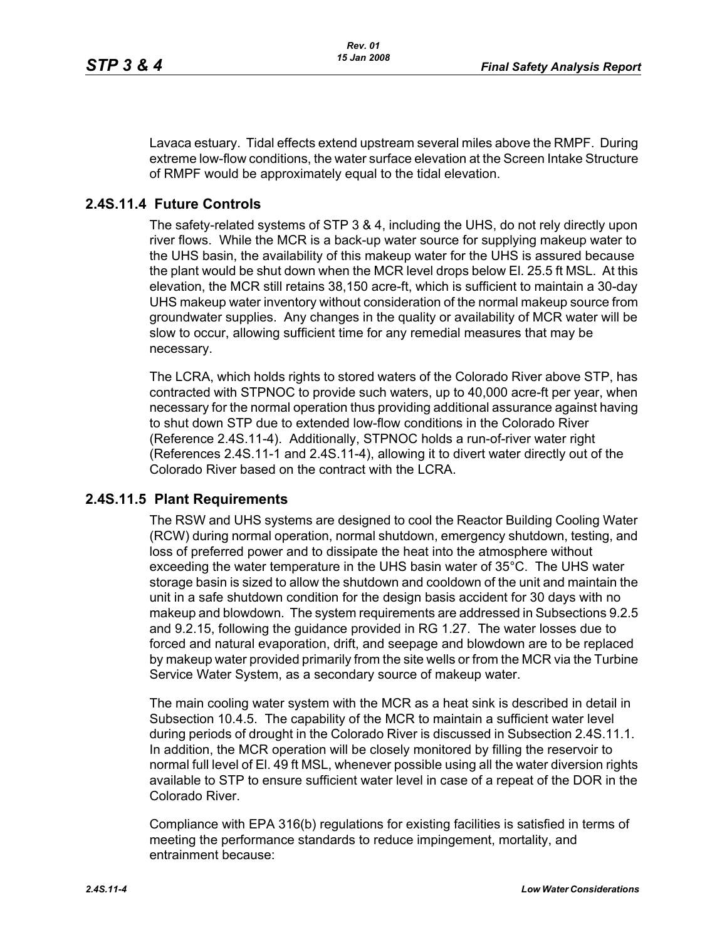Lavaca estuary. Tidal effects extend upstream several miles above the RMPF. During extreme low-flow conditions, the water surface elevation at the Screen Intake Structure of RMPF would be approximately equal to the tidal elevation.

# **2.4S.11.4 Future Controls**

The safety-related systems of STP 3 & 4, including the UHS, do not rely directly upon river flows. While the MCR is a back-up water source for supplying makeup water to the UHS basin, the availability of this makeup water for the UHS is assured because the plant would be shut down when the MCR level drops below El. 25.5 ft MSL. At this elevation, the MCR still retains 38,150 acre-ft, which is sufficient to maintain a 30-day UHS makeup water inventory without consideration of the normal makeup source from groundwater supplies. Any changes in the quality or availability of MCR water will be slow to occur, allowing sufficient time for any remedial measures that may be necessary.

The LCRA, which holds rights to stored waters of the Colorado River above STP, has contracted with STPNOC to provide such waters, up to 40,000 acre-ft per year, when necessary for the normal operation thus providing additional assurance against having to shut down STP due to extended low-flow conditions in the Colorado River (Reference [2.4S.11-4\)](#page-5-1). Additionally, STPNOC holds a run-of-river water right (References [2.4S.11-1](#page-4-0) and [2.4S.11-4\)](#page-5-1), allowing it to divert water directly out of the Colorado River based on the contract with the LCRA.

#### **2.4S.11.5 Plant Requirements**

The RSW and UHS systems are designed to cool the Reactor Building Cooling Water (RCW) during normal operation, normal shutdown, emergency shutdown, testing, and loss of preferred power and to dissipate the heat into the atmosphere without exceeding the water temperature in the UHS basin water of 35°C. The UHS water storage basin is sized to allow the shutdown and cooldown of the unit and maintain the unit in a safe shutdown condition for the design basis accident for 30 days with no makeup and blowdown. The system requirements are addressed in Subsections 9.2.5 and 9.2.15, following the guidance provided in RG 1.27. The water losses due to forced and natural evaporation, drift, and seepage and blowdown are to be replaced by makeup water provided primarily from the site wells or from the MCR via the Turbine Service Water System, as a secondary source of makeup water.

The main cooling water system with the MCR as a heat sink is described in detail in Subsection 10.4.5. The capability of the MCR to maintain a sufficient water level during periods of drought in the Colorado River is discussed in Subsection 2.4S.11.1. In addition, the MCR operation will be closely monitored by filling the reservoir to normal full level of El. 49 ft MSL, whenever possible using all the water diversion rights available to STP to ensure sufficient water level in case of a repeat of the DOR in the Colorado River.

Compliance with EPA 316(b) regulations for existing facilities is satisfied in terms of meeting the performance standards to reduce impingement, mortality, and entrainment because: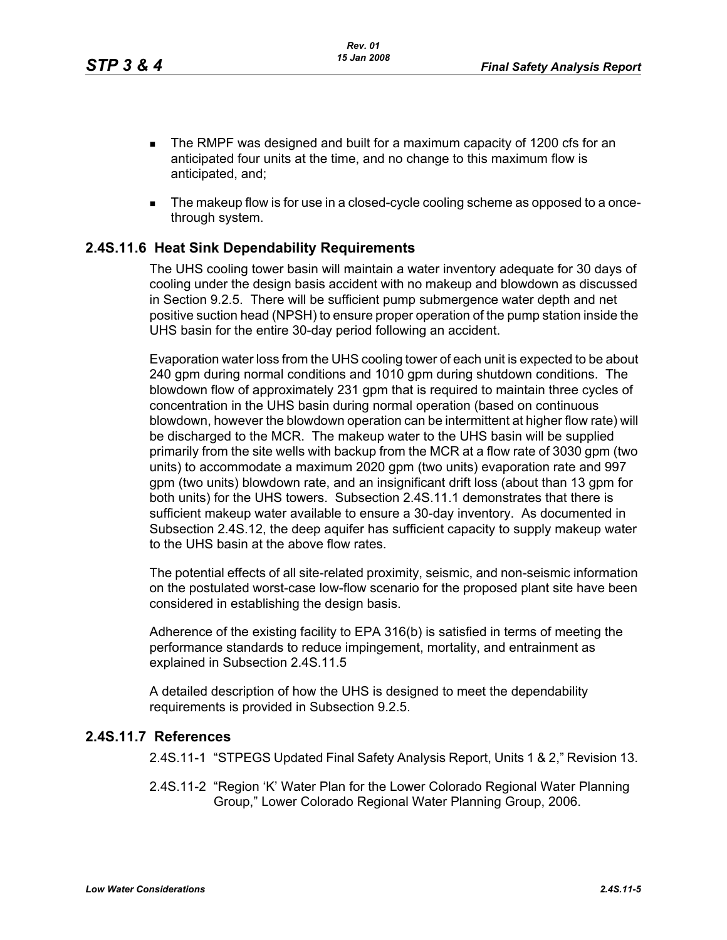- The RMPF was designed and built for a maximum capacity of 1200 cfs for an anticipated four units at the time, and no change to this maximum flow is anticipated, and;
- The makeup flow is for use in a closed-cycle cooling scheme as opposed to a oncethrough system.

# **2.4S.11.6 Heat Sink Dependability Requirements**

The UHS cooling tower basin will maintain a water inventory adequate for 30 days of cooling under the design basis accident with no makeup and blowdown as discussed in Section 9.2.5. There will be sufficient pump submergence water depth and net positive suction head (NPSH) to ensure proper operation of the pump station inside the UHS basin for the entire 30-day period following an accident.

Evaporation water loss from the UHS cooling tower of each unit is expected to be about 240 gpm during normal conditions and 1010 gpm during shutdown conditions. The blowdown flow of approximately 231 gpm that is required to maintain three cycles of concentration in the UHS basin during normal operation (based on continuous blowdown, however the blowdown operation can be intermittent at higher flow rate) will be discharged to the MCR. The makeup water to the UHS basin will be supplied primarily from the site wells with backup from the MCR at a flow rate of 3030 gpm (two units) to accommodate a maximum 2020 gpm (two units) evaporation rate and 997 gpm (two units) blowdown rate, and an insignificant drift loss (about than 13 gpm for both units) for the UHS towers. Subsection 2.4S.11.1 demonstrates that there is sufficient makeup water available to ensure a 30-day inventory. As documented in Subsection 2.4S.12, the deep aquifer has sufficient capacity to supply makeup water to the UHS basin at the above flow rates.

The potential effects of all site-related proximity, seismic, and non-seismic information on the postulated worst-case low-flow scenario for the proposed plant site have been considered in establishing the design basis.

Adherence of the existing facility to EPA 316(b) is satisfied in terms of meeting the performance standards to reduce impingement, mortality, and entrainment as explained in Subsection 2.4S.11.5

A detailed description of how the UHS is designed to meet the dependability requirements is provided in Subsection 9.2.5.

#### <span id="page-4-1"></span><span id="page-4-0"></span>**2.4S.11.7 References**

2.4S.11-1 "STPEGS Updated Final Safety Analysis Report, Units 1 & 2," Revision 13.

2.4S.11-2 "Region 'K' Water Plan for the Lower Colorado Regional Water Planning Group," Lower Colorado Regional Water Planning Group, 2006.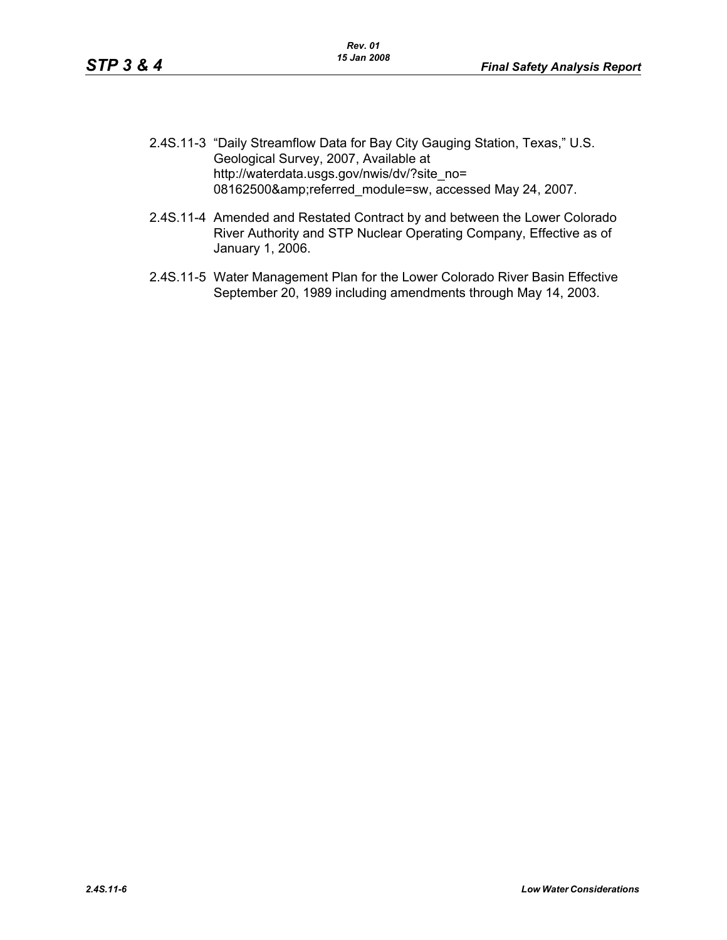- <span id="page-5-0"></span>2.4S.11-3 "Daily Streamflow Data for Bay City Gauging Station, Texas," U.S. Geological Survey, 2007, Available at http://waterdata.usgs.gov/nwis/dv/?site\_no= 08162500&referred\_module=sw, accessed May 24, 2007.
- <span id="page-5-1"></span>2.4S.11-4 Amended and Restated Contract by and between the Lower Colorado River Authority and STP Nuclear Operating Company, Effective as of January 1, 2006.
- <span id="page-5-2"></span>2.4S.11-5 Water Management Plan for the Lower Colorado River Basin Effective September 20, 1989 including amendments through May 14, 2003.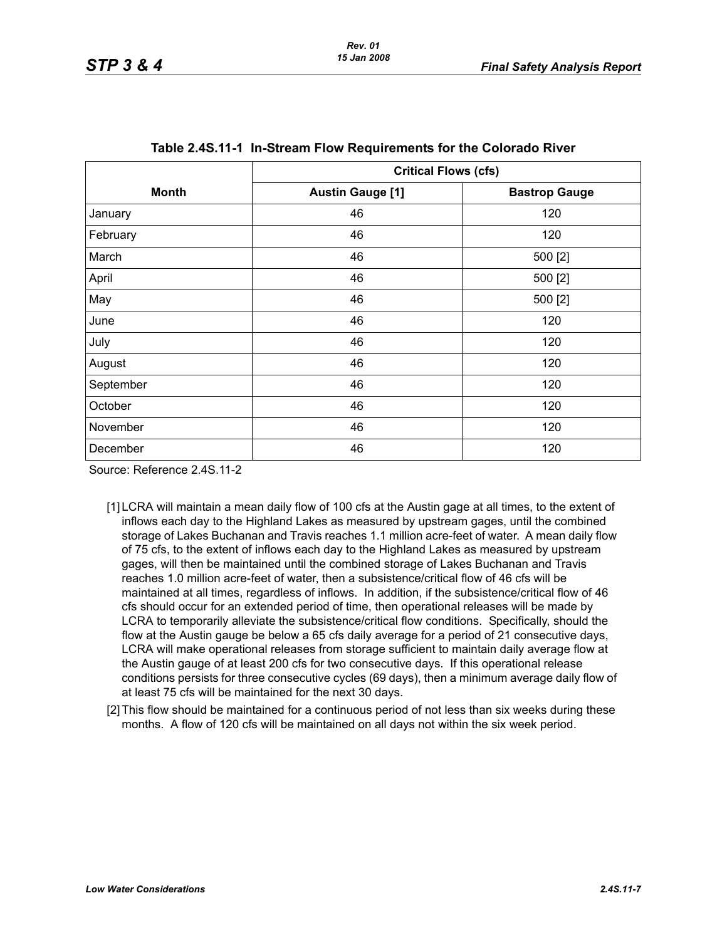<span id="page-6-0"></span>

|              | <b>Critical Flows (cfs)</b> |                      |  |  |
|--------------|-----------------------------|----------------------|--|--|
| <b>Month</b> | <b>Austin Gauge [1]</b>     | <b>Bastrop Gauge</b> |  |  |
| January      | 46                          | 120                  |  |  |
| February     | 46                          | 120                  |  |  |
| March        | 46                          | 500 [2]              |  |  |
| April        | 46                          | 500 [2]              |  |  |
| May          | 46                          | 500 [2]              |  |  |
| June         | 46                          | 120                  |  |  |
| July         | 46                          | 120                  |  |  |
| August       | 46                          | 120                  |  |  |
| September    | 46                          | 120                  |  |  |
| October      | 46                          | 120                  |  |  |
| November     | 46                          | 120                  |  |  |
| December     | 46                          | 120                  |  |  |

Source: Reference 2.4S.11-2

- [1] LCRA will maintain a mean daily flow of 100 cfs at the Austin gage at all times, to the extent of inflows each day to the Highland Lakes as measured by upstream gages, until the combined storage of Lakes Buchanan and Travis reaches 1.1 million acre-feet of water. A mean daily flow of 75 cfs, to the extent of inflows each day to the Highland Lakes as measured by upstream gages, will then be maintained until the combined storage of Lakes Buchanan and Travis reaches 1.0 million acre-feet of water, then a subsistence/critical flow of 46 cfs will be maintained at all times, regardless of inflows. In addition, if the subsistence/critical flow of 46 cfs should occur for an extended period of time, then operational releases will be made by LCRA to temporarily alleviate the subsistence/critical flow conditions. Specifically, should the flow at the Austin gauge be below a 65 cfs daily average for a period of 21 consecutive days, LCRA will make operational releases from storage sufficient to maintain daily average flow at the Austin gauge of at least 200 cfs for two consecutive days. If this operational release conditions persists for three consecutive cycles (69 days), then a minimum average daily flow of at least 75 cfs will be maintained for the next 30 days.
- <span id="page-6-1"></span>[2] This flow should be maintained for a continuous period of not less than six weeks during these months. A flow of 120 cfs will be maintained on all days not within the six week period.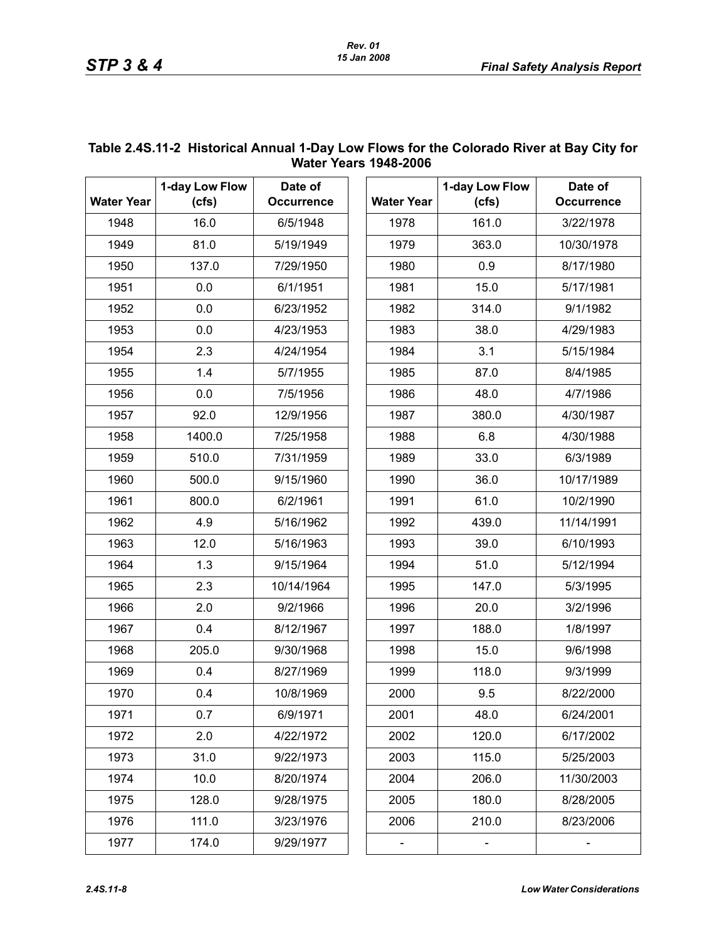| <b>Water Years 1948-2006</b> |                         |                              |                   |                         |                              |  |  |
|------------------------------|-------------------------|------------------------------|-------------------|-------------------------|------------------------------|--|--|
| <b>Water Year</b>            | 1-day Low Flow<br>(cfs) | Date of<br><b>Occurrence</b> | <b>Water Year</b> | 1-day Low Flow<br>(cfs) | Date of<br><b>Occurrence</b> |  |  |
| 1948                         | 16.0                    | 6/5/1948                     | 1978              | 161.0                   | 3/22/1978                    |  |  |
| 1949                         | 81.0                    | 5/19/1949                    | 1979              | 363.0                   | 10/30/1978                   |  |  |
| 1950                         | 137.0                   | 7/29/1950                    | 1980              | 0.9                     | 8/17/1980                    |  |  |
| 1951                         | 0.0                     | 6/1/1951                     | 1981              | 15.0                    | 5/17/1981                    |  |  |
| 1952                         | 0.0                     | 6/23/1952                    | 1982              | 314.0                   | 9/1/1982                     |  |  |
| 1953                         | 0.0                     | 4/23/1953                    | 1983              | 38.0                    | 4/29/1983                    |  |  |
| 1954                         | 2.3                     | 4/24/1954                    | 1984              | 3.1                     | 5/15/1984                    |  |  |
| 1955                         | 1.4                     | 5/7/1955                     | 1985              | 87.0                    | 8/4/1985                     |  |  |
| 1956                         | 0.0                     | 7/5/1956                     | 1986              | 48.0                    | 4/7/1986                     |  |  |
| 1957                         | 92.0                    | 12/9/1956                    | 1987              | 380.0                   | 4/30/1987                    |  |  |
| 1958                         | 1400.0                  | 7/25/1958                    | 1988              | 6.8                     | 4/30/1988                    |  |  |
| 1959                         | 510.0                   | 7/31/1959                    | 1989              | 33.0                    | 6/3/1989                     |  |  |
| 1960                         | 500.0                   | 9/15/1960                    | 1990              | 36.0                    | 10/17/1989                   |  |  |
| 1961                         | 800.0                   | 6/2/1961                     | 1991              | 61.0                    | 10/2/1990                    |  |  |
| 1962                         | 4.9                     | 5/16/1962                    | 1992              | 439.0                   | 11/14/1991                   |  |  |
| 1963                         | 12.0                    | 5/16/1963                    | 1993              | 39.0                    | 6/10/1993                    |  |  |
| 1964                         | 1.3                     | 9/15/1964                    | 1994              | 51.0                    | 5/12/1994                    |  |  |
| 1965                         | 2.3                     | 10/14/1964                   | 1995              | 147.0                   | 5/3/1995                     |  |  |
| 1966                         | 2.0                     | 9/2/1966                     | 1996              | 20.0                    | 3/2/1996                     |  |  |
| 1967                         | 0.4                     | 8/12/1967                    | 1997              | 188.0                   | 1/8/1997                     |  |  |
| 1968                         | 205.0                   | 9/30/1968                    | 1998              | 15.0                    | 9/6/1998                     |  |  |
| 1969                         | 0.4                     | 8/27/1969                    | 1999              | 118.0                   | 9/3/1999                     |  |  |
| 1970                         | 0.4                     | 10/8/1969                    | 2000              | 9.5                     | 8/22/2000                    |  |  |
| 1971                         | 0.7                     | 6/9/1971                     | 2001              | 48.0                    | 6/24/2001                    |  |  |
| 1972                         | 2.0                     | 4/22/1972                    | 2002              | 120.0                   | 6/17/2002                    |  |  |
| 1973                         | 31.0                    | 9/22/1973                    | 2003              | 115.0                   | 5/25/2003                    |  |  |
| 1974                         | 10.0                    | 8/20/1974                    | 2004              | 206.0                   | 11/30/2003                   |  |  |
| 1975                         | 128.0                   | 9/28/1975                    | 2005              | 180.0                   | 8/28/2005                    |  |  |
| 1976                         | 111.0                   | 3/23/1976                    | 2006              | 210.0                   | 8/23/2006                    |  |  |
| 1977                         | 174.0                   | 9/29/1977                    |                   |                         |                              |  |  |

# <span id="page-7-0"></span>**Table 2.4S.11-2 Historical Annual 1-Day Low Flows for the Colorado River at Bay City for**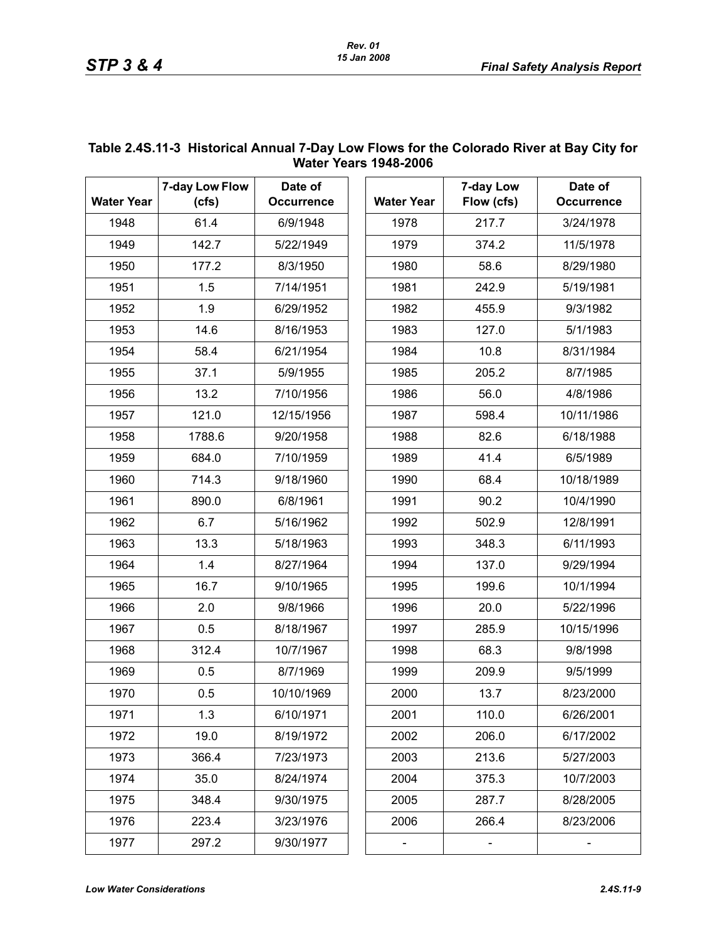| <b>Water Years 1948-2006</b> |                         |                              |                   |                         |                              |  |  |  |
|------------------------------|-------------------------|------------------------------|-------------------|-------------------------|------------------------------|--|--|--|
| <b>Water Year</b>            | 7-day Low Flow<br>(cfs) | Date of<br><b>Occurrence</b> | <b>Water Year</b> | 7-day Low<br>Flow (cfs) | Date of<br><b>Occurrence</b> |  |  |  |
| 1948                         | 61.4                    | 6/9/1948                     | 1978              | 217.7                   | 3/24/1978                    |  |  |  |
| 1949                         | 142.7                   | 5/22/1949                    | 1979              | 374.2                   | 11/5/1978                    |  |  |  |
| 1950                         | 177.2                   | 8/3/1950                     | 1980              | 58.6                    | 8/29/1980                    |  |  |  |
| 1951                         | 1.5                     | 7/14/1951                    | 1981              | 242.9                   | 5/19/1981                    |  |  |  |
| 1952                         | 1.9                     | 6/29/1952                    | 1982              | 455.9                   | 9/3/1982                     |  |  |  |
| 1953                         | 14.6                    | 8/16/1953                    | 1983              | 127.0                   | 5/1/1983                     |  |  |  |
| 1954                         | 58.4                    | 6/21/1954                    | 1984              | 10.8                    | 8/31/1984                    |  |  |  |
| 1955                         | 37.1                    | 5/9/1955                     | 1985              | 205.2                   | 8/7/1985                     |  |  |  |
| 1956                         | 13.2                    | 7/10/1956                    | 1986              | 56.0                    | 4/8/1986                     |  |  |  |
| 1957                         | 121.0                   | 12/15/1956                   | 1987              | 598.4                   | 10/11/1986                   |  |  |  |
| 1958                         | 1788.6                  | 9/20/1958                    | 1988              | 82.6                    | 6/18/1988                    |  |  |  |
| 1959                         | 684.0                   | 7/10/1959                    | 1989              | 41.4                    | 6/5/1989                     |  |  |  |
| 1960                         | 714.3                   | 9/18/1960                    | 1990              | 68.4                    | 10/18/1989                   |  |  |  |
| 1961                         | 890.0                   | 6/8/1961                     | 1991              | 90.2                    | 10/4/1990                    |  |  |  |
| 1962                         | 6.7                     | 5/16/1962                    | 1992              | 502.9                   | 12/8/1991                    |  |  |  |
| 1963                         | 13.3                    | 5/18/1963                    | 1993              | 348.3                   | 6/11/1993                    |  |  |  |
| 1964                         | 1.4                     | 8/27/1964                    | 1994              | 137.0                   | 9/29/1994                    |  |  |  |
| 1965                         | 16.7                    | 9/10/1965                    | 1995              | 199.6                   | 10/1/1994                    |  |  |  |
| 1966                         | 2.0                     | 9/8/1966                     | 1996              | 20.0                    | 5/22/1996                    |  |  |  |
| 1967                         | 0.5                     | 8/18/1967                    | 1997              | 285.9                   | 10/15/1996                   |  |  |  |
| 1968                         | 312.4                   | 10/7/1967                    | 1998              | 68.3                    | 9/8/1998                     |  |  |  |
| 1969                         | 0.5                     | 8/7/1969                     | 1999              | 209.9                   | 9/5/1999                     |  |  |  |
| 1970                         | 0.5                     | 10/10/1969                   | 2000              | 13.7                    | 8/23/2000                    |  |  |  |
| 1971                         | 1.3                     | 6/10/1971                    | 2001              | 110.0                   | 6/26/2001                    |  |  |  |
| 1972                         | 19.0                    | 8/19/1972                    | 2002              | 206.0                   | 6/17/2002                    |  |  |  |
| 1973                         | 366.4                   | 7/23/1973                    | 2003              | 213.6                   | 5/27/2003                    |  |  |  |
| 1974                         | 35.0                    | 8/24/1974                    | 2004              | 375.3                   | 10/7/2003                    |  |  |  |
| 1975                         | 348.4                   | 9/30/1975                    | 2005              | 287.7                   | 8/28/2005                    |  |  |  |
| 1976                         | 223.4                   | 3/23/1976                    | 2006              | 266.4                   | 8/23/2006                    |  |  |  |
| 1977                         | 297.2                   | 9/30/1977                    |                   |                         |                              |  |  |  |

# <span id="page-8-0"></span>**Table 2.4S.11-3 Historical Annual 7-Day Low Flows for the Colorado River at Bay City for**